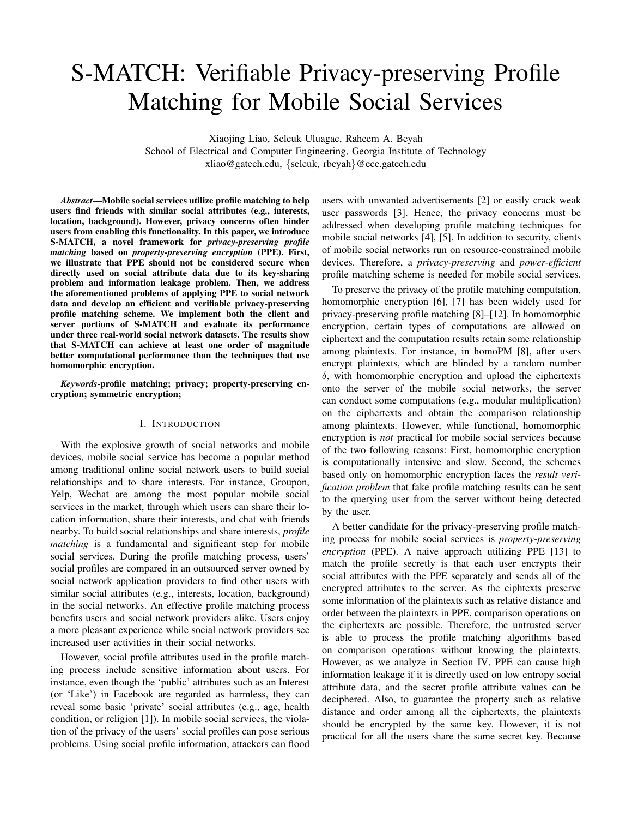# S-MATCH: Verifiable Privacy-preserving Profile Matching for Mobile Social Services

Xiaojing Liao, Selcuk Uluagac, Raheem A. Beyah School of Electrical and Computer Engineering, Georgia Institute of Technology xliao@gatech.edu, {selcuk, rbeyah}@ece.gatech.edu

*Abstract*—Mobile social services utilize profile matching to help users find friends with similar social attributes (e.g., interests, location, background). However, privacy concerns often hinder users from enabling this functionality. In this paper, we introduce S-MATCH, a novel framework for *privacy-preserving profile matching* based on *property-preserving encryption* (PPE). First, we illustrate that PPE should not be considered secure when directly used on social attribute data due to its key-sharing problem and information leakage problem. Then, we address the aforementioned problems of applying PPE to social network data and develop an efficient and verifiable privacy-preserving profile matching scheme. We implement both the client and server portions of S-MATCH and evaluate its performance under three real-world social network datasets. The results show that S-MATCH can achieve at least one order of magnitude better computational performance than the techniques that use homomorphic encryption.

*Keywords*-profile matching; privacy; property-preserving encryption; symmetric encryption;

# I. INTRODUCTION

With the explosive growth of social networks and mobile devices, mobile social service has become a popular method among traditional online social network users to build social relationships and to share interests. For instance, Groupon, Yelp, Wechat are among the most popular mobile social services in the market, through which users can share their location information, share their interests, and chat with friends nearby. To build social relationships and share interests, *profile matching* is a fundamental and significant step for mobile social services. During the profile matching process, users' social profiles are compared in an outsourced server owned by social network application providers to find other users with similar social attributes (e.g., interests, location, background) in the social networks. An effective profile matching process benefits users and social network providers alike. Users enjoy a more pleasant experience while social network providers see increased user activities in their social networks.

However, social profile attributes used in the profile matching process include sensitive information about users. For instance, even though the 'public' attributes such as an Interest (or 'Like') in Facebook are regarded as harmless, they can reveal some basic 'private' social attributes (e.g., age, health condition, or religion [1]). In mobile social services, the violation of the privacy of the users' social profiles can pose serious problems. Using social profile information, attackers can flood users with unwanted advertisements [2] or easily crack weak user passwords [3]. Hence, the privacy concerns must be addressed when developing profile matching techniques for mobile social networks [4], [5]. In addition to security, clients of mobile social networks run on resource-constrained mobile devices. Therefore, a *privacy-preserving* and *power-efficient* profile matching scheme is needed for mobile social services.

To preserve the privacy of the profile matching computation, homomorphic encryption [6], [7] has been widely used for privacy-preserving profile matching [8]–[12]. In homomorphic encryption, certain types of computations are allowed on ciphertext and the computation results retain some relationship among plaintexts. For instance, in homoPM [8], after users encrypt plaintexts, which are blinded by a random number  $\delta$ , with homomorphic encryption and upload the ciphertexts onto the server of the mobile social networks, the server can conduct some computations (e.g., modular multiplication) on the ciphertexts and obtain the comparison relationship among plaintexts. However, while functional, homomorphic encryption is *not* practical for mobile social services because of the two following reasons: First, homomorphic encryption is computationally intensive and slow. Second, the schemes based only on homomorphic encryption faces the *result verification problem* that fake profile matching results can be sent to the querying user from the server without being detected by the user.

A better candidate for the privacy-preserving profile matching process for mobile social services is *property-preserving encryption* (PPE). A naive approach utilizing PPE [13] to match the profile secretly is that each user encrypts their social attributes with the PPE separately and sends all of the encrypted attributes to the server. As the ciphtexts preserve some information of the plaintexts such as relative distance and order between the plaintexts in PPE, comparison operations on the ciphertexts are possible. Therefore, the untrusted server is able to process the profile matching algorithms based on comparison operations without knowing the plaintexts. However, as we analyze in Section IV, PPE can cause high information leakage if it is directly used on low entropy social attribute data, and the secret profile attribute values can be deciphered. Also, to guarantee the property such as relative distance and order among all the ciphertexts, the plaintexts should be encrypted by the same key. However, it is not practical for all the users share the same secret key. Because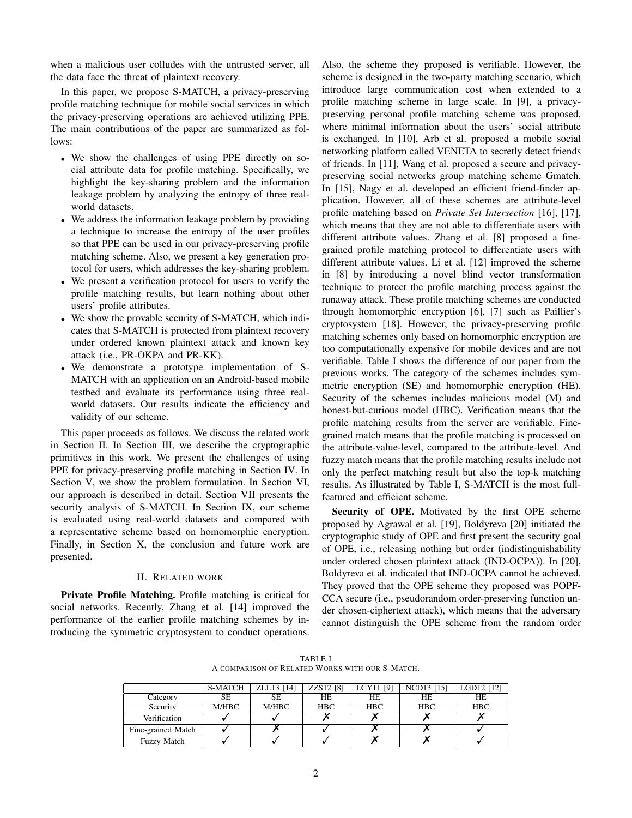when a malicious user colludes with the untrusted server, all the data face the threat of plaintext recovery.

In this paper, we propose S-MATCH, a privacy-preserving profile matching technique for mobile social services in which the privacy-preserving operations are achieved utilizing PPE. The main contributions of the paper are summarized as follows:

- We show the challenges of using PPE directly on social attribute data for profile matching. Specifically, we highlight the key-sharing problem and the information leakage problem by analyzing the entropy of three realworld datasets.
- We address the information leakage problem by providing a technique to increase the entropy of the user profiles so that PPE can be used in our privacy-preserving profile matching scheme. Also, we present a key generation protocol for users, which addresses the key-sharing problem.
- We present a verification protocol for users to verify the profile matching results, but learn nothing about other users' profile attributes.
- We show the provable security of S-MATCH, which indicates that S-MATCH is protected from plaintext recovery under ordered known plaintext attack and known key attack (i.e., PR-OKPA and PR-KK).
- We demonstrate a prototype implementation of S-MATCH with an application on an Android-based mobile testbed and evaluate its performance using three realworld datasets. Our results indicate the efficiency and validity of our scheme.

This paper proceeds as follows. We discuss the related work in Section II. In Section III, we describe the cryptographic primitives in this work. We present the challenges of using PPE for privacy-preserving profile matching in Section IV. In Section V, we show the problem formulation. In Section VI, our approach is described in detail. Section VII presents the security analysis of S-MATCH. In Section IX, our scheme is evaluated using real-world datasets and compared with a representative scheme based on homomorphic encryption. Finally, in Section X, the conclusion and future work are presented.

## II. RELATED WORK

Private Profile Matching. Profile matching is critical for social networks. Recently, Zhang et al. [14] improved the performance of the earlier profile matching schemes by introducing the symmetric cryptosystem to conduct operations. Also, the scheme they proposed is verifiable. However, the scheme is designed in the two-party matching scenario, which introduce large communication cost when extended to a profile matching scheme in large scale. In [9], a privacypreserving personal profile matching scheme was proposed, where minimal information about the users' social attribute is exchanged. In [10], Arb et al. proposed a mobile social networking platform called VENETA to secretly detect friends of friends. In [11], Wang et al. proposed a secure and privacypreserving social networks group matching scheme Gmatch. In [15], Nagy et al. developed an efficient friend-finder application. However, all of these schemes are attribute-level profile matching based on *Private Set Intersection* [16], [17], which means that they are not able to differentiate users with different attribute values. Zhang et al. [8] proposed a finegrained profile matching protocol to differentiate users with different attribute values. Li et al. [12] improved the scheme in [8] by introducing a novel blind vector transformation technique to protect the profile matching process against the runaway attack. These profile matching schemes are conducted through homomorphic encryption [6], [7] such as Paillier's cryptosystem [18]. However, the privacy-preserving profile matching schemes only based on homomorphic encryption are too computationally expensive for mobile devices and are not verifiable. Table I shows the difference of our paper from the previous works. The category of the schemes includes symmetric encryption (SE) and homomorphic encryption (HE). Security of the schemes includes malicious model (M) and honest-but-curious model (HBC). Verification means that the profile matching results from the server are verifiable. Finegrained match means that the profile matching is processed on the attribute-value-level, compared to the attribute-level. And fuzzy match means that the profile matching results include not only the perfect matching result but also the top-k matching results. As illustrated by Table I, S-MATCH is the most fullfeatured and efficient scheme.

Security of OPE. Motivated by the first OPE scheme proposed by Agrawal et al. [19], Boldyreva [20] initiated the cryptographic study of OPE and first present the security goal of OPE, i.e., releasing nothing but order (indistinguishability under ordered chosen plaintext attack (IND-OCPA)). In [20], Boldyreva et al. indicated that IND-OCPA cannot be achieved. They proved that the OPE scheme they proposed was POPF-CCA secure (i.e., pseudorandom order-preserving function under chosen-ciphertext attack), which means that the adversary cannot distinguish the OPE scheme from the random order

TABLE I A COMPARISON OF RELATED WORKS WITH OUR S-MATCH.

|                    | <b>S-MATCH</b> | ZLL13 [14] | ZZS12 [8]  | LCY11 [9]  | NCD13 [15] | LGD12 [12] |
|--------------------|----------------|------------|------------|------------|------------|------------|
| Category           | SЕ             | SE         | <b>HE</b>  | HЕ         | HЕ         | HЕ         |
| Security           | M/HBC          | M/HBC      | <b>HBC</b> | <b>HBC</b> | <b>HBC</b> | <b>HBC</b> |
| Verification       |                |            |            |            |            |            |
| Fine-grained Match |                |            |            |            |            |            |
| <b>Fuzzy Match</b> |                |            |            |            |            |            |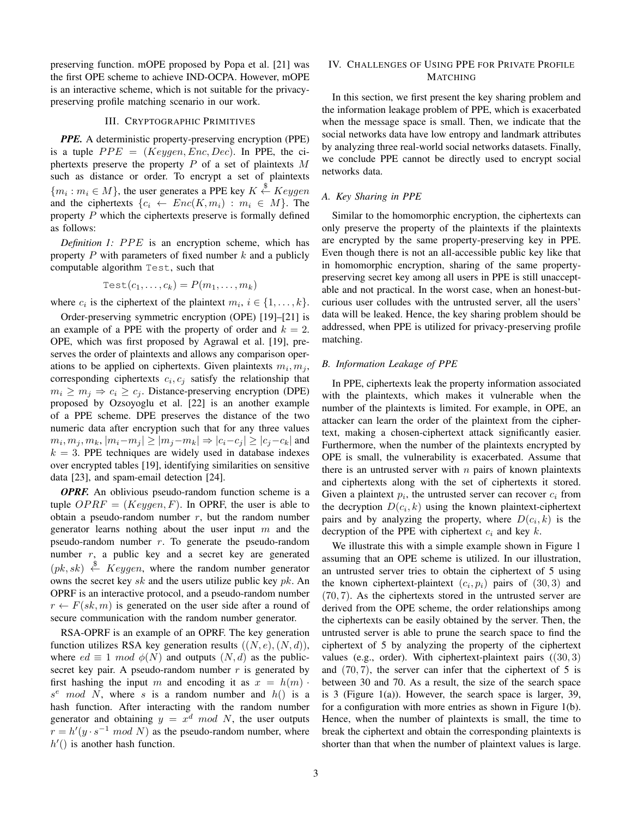preserving function. mOPE proposed by Popa et al. [21] was the first OPE scheme to achieve IND-OCPA. However, mOPE is an interactive scheme, which is not suitable for the privacypreserving profile matching scenario in our work.

#### III. CRYPTOGRAPHIC PRIMITIVES

*PPE.* A deterministic property-preserving encryption (PPE) is a tuple  $PPE = (Keygen, Enc, Dec)$ . In PPE, the ciphertexts preserve the property  $P$  of a set of plaintexts  $M$ such as distance or order. To encrypt a set of plaintexts  ${m_i : m_i \in M}$ , the user generates a PPE key  $K \stackrel{\$}{\leftarrow} Keygen$ and the ciphertexts  $\{c_i \leftarrow Enc(K, m_i) : m_i \in M\}$ . The property  $P$  which the ciphertexts preserve is formally defined as follows:

*Definition 1: PPE* is an encryption scheme, which has property  $P$  with parameters of fixed number  $k$  and a publicly computable algorithm Test, such that

Test
$$
(c_1, \ldots, c_k) = P(m_1, \ldots, m_k)
$$

where  $c_i$  is the ciphertext of the plaintext  $m_i$ ,  $i \in \{1, ..., k\}$ .

Order-preserving symmetric encryption (OPE) [19]–[21] is an example of a PPE with the property of order and  $k = 2$ . OPE, which was first proposed by Agrawal et al. [19], preserves the order of plaintexts and allows any comparison operations to be applied on ciphertexts. Given plaintexts  $m_i, m_j$ , corresponding ciphertexts  $c_i, c_j$  satisfy the relationship that  $m_i \ge m_j \Rightarrow c_i \ge c_j$ . Distance-preserving encryption (DPE) proposed by Ozsoyoglu et al. [22] is an another example of a PPE scheme. DPE preserves the distance of the two numeric data after encryption such that for any three values  $m_i, m_j, m_k, |m_i-m_j| \ge |m_j-m_k| \Rightarrow |c_i-c_j| \ge |c_j-c_k|$  and  $k = 3$ . PPE techniques are widely used in database indexes over encrypted tables [19], identifying similarities on sensitive data [23], and spam-email detection [24].

*OPRF.* An oblivious pseudo-random function scheme is a tuple  $OPRF = (Keygen, F)$ . In OPRF, the user is able to obtain a pseudo-random number  $r$ , but the random number generator learns nothing about the user input  $m$  and the pseudo-random number  $r$ . To generate the pseudo-random number  $r$ , a public key and a secret key are generated  $(pk, sk) \stackrel{\$}{\leftarrow} Keygen$ , where the random number generator owns the secret key sk and the users utilize public key  $pk$ . An OPRF is an interactive protocol, and a pseudo-random number  $r \leftarrow F(sk, m)$  is generated on the user side after a round of secure communication with the random number generator.

RSA-OPRF is an example of an OPRF. The key generation function utilizes RSA key generation results  $((N, e), (N, d)),$ where  $ed \equiv 1 \mod \phi(N)$  and outputs  $(N, d)$  as the publicsecret key pair. A pseudo-random number  $r$  is generated by first hashing the input m and encoding it as  $x = h(m)$ .  $s^e \mod N$ , where s is a random number and  $h()$  is a hash function. After interacting with the random number generator and obtaining  $y = x<sup>d</sup> \mod N$ , the user outputs  $r = h'(y \cdot s^{-1} \mod N)$  as the pseudo-random number, where  $h'()$  is another hash function.

# IV. CHALLENGES OF USING PPE FOR PRIVATE PROFILE MATCHING

In this section, we first present the key sharing problem and the information leakage problem of PPE, which is exacerbated when the message space is small. Then, we indicate that the social networks data have low entropy and landmark attributes by analyzing three real-world social networks datasets. Finally, we conclude PPE cannot be directly used to encrypt social networks data.

# *A. Key Sharing in PPE*

Similar to the homomorphic encryption, the ciphertexts can only preserve the property of the plaintexts if the plaintexts are encrypted by the same property-preserving key in PPE. Even though there is not an all-accessible public key like that in homomorphic encryption, sharing of the same propertypreserving secret key among all users in PPE is still unacceptable and not practical. In the worst case, when an honest-butcurious user colludes with the untrusted server, all the users' data will be leaked. Hence, the key sharing problem should be addressed, when PPE is utilized for privacy-preserving profile matching.

## *B. Information Leakage of PPE*

In PPE, ciphertexts leak the property information associated with the plaintexts, which makes it vulnerable when the number of the plaintexts is limited. For example, in OPE, an attacker can learn the order of the plaintext from the ciphertext, making a chosen-ciphertext attack significantly easier. Furthermore, when the number of the plaintexts encrypted by OPE is small, the vulnerability is exacerbated. Assume that there is an untrusted server with  $n$  pairs of known plaintexts and ciphertexts along with the set of ciphertexts it stored. Given a plaintext  $p_i$ , the untrusted server can recover  $c_i$  from the decryption  $D(c_i, k)$  using the known plaintext-ciphertext pairs and by analyzing the property, where  $D(c_i, k)$  is the decryption of the PPE with ciphertext  $c_i$  and key k.

We illustrate this with a simple example shown in Figure 1 assuming that an OPE scheme is utilized. In our illustration, an untrusted server tries to obtain the ciphertext of 5 using the known ciphertext-plaintext  $(c_i, p_i)$  pairs of  $(30, 3)$  and (70, 7). As the ciphertexts stored in the untrusted server are derived from the OPE scheme, the order relationships among the ciphertexts can be easily obtained by the server. Then, the untrusted server is able to prune the search space to find the ciphertext of 5 by analyzing the property of the ciphertext values (e.g., order). With ciphertext-plaintext pairs  $((30, 3)$ and  $(70, 7)$ , the server can infer that the ciphertext of 5 is between 30 and 70. As a result, the size of the search space is 3 (Figure 1(a)). However, the search space is larger, 39, for a configuration with more entries as shown in Figure 1(b). Hence, when the number of plaintexts is small, the time to break the ciphertext and obtain the corresponding plaintexts is shorter than that when the number of plaintext values is large.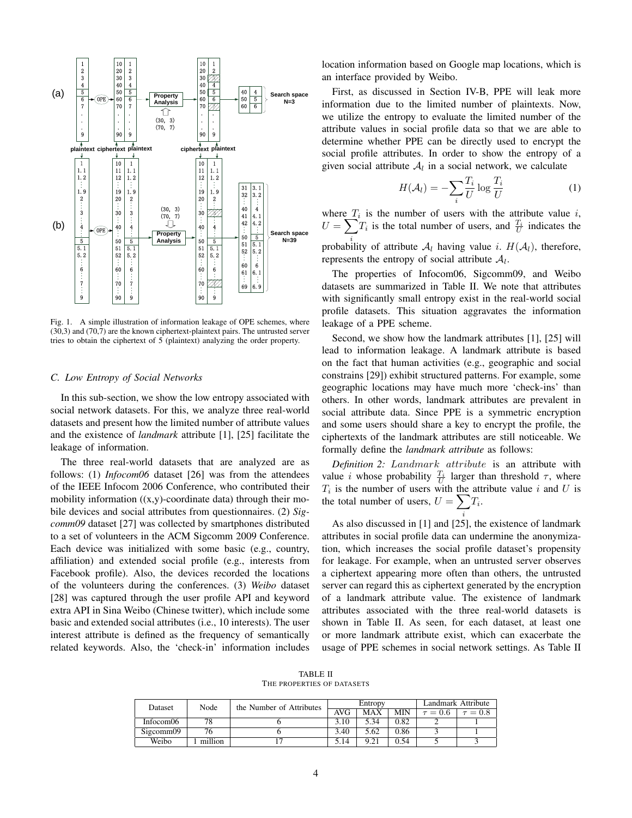

Fig. 1. A simple illustration of information leakage of OPE schemes, where (30,3) and (70,7) are the known ciphertext-plaintext pairs. The untrusted server tries to obtain the ciphertext of 5 (plaintext) analyzing the order property.

#### *C. Low Entropy of Social Networks*

In this sub-section, we show the low entropy associated with social network datasets. For this, we analyze three real-world datasets and present how the limited number of attribute values and the existence of *landmark* attribute [1], [25] facilitate the leakage of information.

The three real-world datasets that are analyzed are as follows: (1) *Infocom06* dataset [26] was from the attendees of the IEEE Infocom 2006 Conference, who contributed their mobility information  $((x,y)$ -coordinate data) through their mobile devices and social attributes from questionnaires. (2) *Sigcomm09* dataset [27] was collected by smartphones distributed to a set of volunteers in the ACM Sigcomm 2009 Conference. Each device was initialized with some basic (e.g., country, affiliation) and extended social profile (e.g., interests from Facebook profile). Also, the devices recorded the locations of the volunteers during the conferences. (3) *Weibo* dataset [28] was captured through the user profile API and keyword extra API in Sina Weibo (Chinese twitter), which include some basic and extended social attributes (i.e., 10 interests). The user interest attribute is defined as the frequency of semantically related keywords. Also, the 'check-in' information includes location information based on Google map locations, which is an interface provided by Weibo.

First, as discussed in Section IV-B, PPE will leak more information due to the limited number of plaintexts. Now, we utilize the entropy to evaluate the limited number of the attribute values in social profile data so that we are able to determine whether PPE can be directly used to encrypt the social profile attributes. In order to show the entropy of a given social attribute  $A_l$  in a social network, we calculate

$$
H(\mathcal{A}_l) = -\sum_{i} \frac{T_i}{U} \log \frac{T_i}{U} \tag{1}
$$

where  $T_i$  is the number of users with the attribute value i,  $U = \sum T_i$  is the total number of users, and  $\frac{T_i}{U}$  indicates the probability of attribute  $\mathcal{A}_l$  having value i.  $H(\mathcal{A}_l)$ , therefore,

represents the entropy of social attribute  $A_l$ .

The properties of Infocom06, Sigcomm09, and Weibo datasets are summarized in Table II. We note that attributes with significantly small entropy exist in the real-world social profile datasets. This situation aggravates the information leakage of a PPE scheme.

Second, we show how the landmark attributes [1], [25] will lead to information leakage. A landmark attribute is based on the fact that human activities (e.g., geographic and social constrains [29]) exhibit structured patterns. For example, some geographic locations may have much more 'check-ins' than others. In other words, landmark attributes are prevalent in social attribute data. Since PPE is a symmetric encryption and some users should share a key to encrypt the profile, the ciphertexts of the landmark attributes are still noticeable. We formally define the *landmark attribute* as follows:

*Definition 2:* Landmark attribute is an attribute with value *i* whose probability  $\frac{T_i}{U}$  larger than threshold  $\tau$ , where  $T_i$  is the number of users with the attribute value i and U is the total number of users,  $U = \sum T_i$ .

i

As also discussed in [1] and [25], the existence of landmark attributes in social profile data can undermine the anonymization, which increases the social profile dataset's propensity for leakage. For example, when an untrusted server observes a ciphertext appearing more often than others, the untrusted server can regard this as ciphertext generated by the encryption of a landmark attribute value. The existence of landmark attributes associated with the three real-world datasets is shown in Table II. As seen, for each dataset, at least one or more landmark attribute exist, which can exacerbate the usage of PPE schemes in social network settings. As Table II

TABLE II THE PROPERTIES OF DATASETS

| Dataset   | Node    | the Number of Attributes | Entropy |            |            | Landmark Attribute |              |
|-----------|---------|--------------------------|---------|------------|------------|--------------------|--------------|
|           |         |                          | AVG     | <b>MAX</b> | <b>MIN</b> | $\tau = 0.6$       | $\tau = 0.8$ |
| Infocom06 | 78      |                          | 3.10    | 5.34       | 0.82       |                    |              |
| Sigcomm09 |         |                          | 3.40    | 5.62       | 0.86       |                    |              |
| Weibo     | million |                          | 5.14    | 9.21       | 0.54       |                    |              |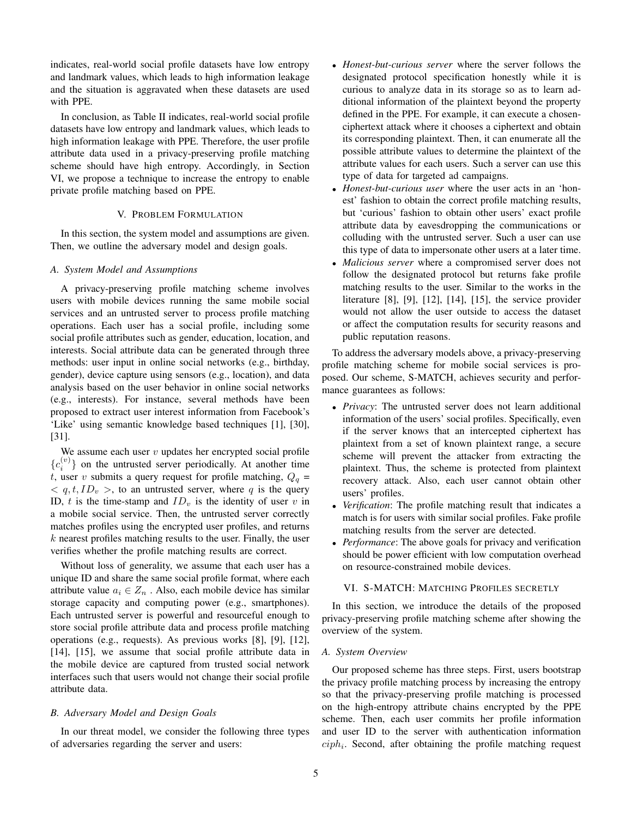indicates, real-world social profile datasets have low entropy and landmark values, which leads to high information leakage and the situation is aggravated when these datasets are used with PPE.

In conclusion, as Table II indicates, real-world social profile datasets have low entropy and landmark values, which leads to high information leakage with PPE. Therefore, the user profile attribute data used in a privacy-preserving profile matching scheme should have high entropy. Accordingly, in Section VI, we propose a technique to increase the entropy to enable private profile matching based on PPE.

## V. PROBLEM FORMULATION

In this section, the system model and assumptions are given. Then, we outline the adversary model and design goals.

#### *A. System Model and Assumptions*

A privacy-preserving profile matching scheme involves users with mobile devices running the same mobile social services and an untrusted server to process profile matching operations. Each user has a social profile, including some social profile attributes such as gender, education, location, and interests. Social attribute data can be generated through three methods: user input in online social networks (e.g., birthday, gender), device capture using sensors (e.g., location), and data analysis based on the user behavior in online social networks (e.g., interests). For instance, several methods have been proposed to extract user interest information from Facebook's 'Like' using semantic knowledge based techniques [1], [30], [31].

We assume each user  $v$  updates her encrypted social profile  ${c_i^{(v)}}$  on the untrusted server periodically. At another time t, user v submits a query request for profile matching,  $Q_q$  =  $\langle q, t, ID_v \rangle$ , to an untrusted server, where q is the query ID, t is the time-stamp and  $ID<sub>v</sub>$  is the identity of user v in a mobile social service. Then, the untrusted server correctly matches profiles using the encrypted user profiles, and returns  $k$  nearest profiles matching results to the user. Finally, the user verifies whether the profile matching results are correct.

Without loss of generality, we assume that each user has a unique ID and share the same social profile format, where each attribute value  $a_i \in Z_n$ . Also, each mobile device has similar storage capacity and computing power (e.g., smartphones). Each untrusted server is powerful and resourceful enough to store social profile attribute data and process profile matching operations (e.g., requests). As previous works [8], [9], [12], [14], [15], we assume that social profile attribute data in the mobile device are captured from trusted social network interfaces such that users would not change their social profile attribute data.

#### *B. Adversary Model and Design Goals*

In our threat model, we consider the following three types of adversaries regarding the server and users:

- *Honest-but-curious server* where the server follows the designated protocol specification honestly while it is curious to analyze data in its storage so as to learn additional information of the plaintext beyond the property defined in the PPE. For example, it can execute a chosenciphertext attack where it chooses a ciphertext and obtain its corresponding plaintext. Then, it can enumerate all the possible attribute values to determine the plaintext of the attribute values for each users. Such a server can use this type of data for targeted ad campaigns.
- *Honest-but-curious user* where the user acts in an 'honest' fashion to obtain the correct profile matching results, but 'curious' fashion to obtain other users' exact profile attribute data by eavesdropping the communications or colluding with the untrusted server. Such a user can use this type of data to impersonate other users at a later time.
- *Malicious server* where a compromised server does not follow the designated protocol but returns fake profile matching results to the user. Similar to the works in the literature [8], [9], [12], [14], [15], the service provider would not allow the user outside to access the dataset or affect the computation results for security reasons and public reputation reasons.

To address the adversary models above, a privacy-preserving profile matching scheme for mobile social services is proposed. Our scheme, S-MATCH, achieves security and performance guarantees as follows:

- *Privacy*: The untrusted server does not learn additional information of the users' social profiles. Specifically, even if the server knows that an intercepted ciphertext has plaintext from a set of known plaintext range, a secure scheme will prevent the attacker from extracting the plaintext. Thus, the scheme is protected from plaintext recovery attack. Also, each user cannot obtain other users' profiles.
- *Verification*: The profile matching result that indicates a match is for users with similar social profiles. Fake profile matching results from the server are detected.
- *Performance*: The above goals for privacy and verification should be power efficient with low computation overhead on resource-constrained mobile devices.

## VI. S-MATCH: MATCHING PROFILES SECRETLY

In this section, we introduce the details of the proposed privacy-preserving profile matching scheme after showing the overview of the system.

## *A. System Overview*

Our proposed scheme has three steps. First, users bootstrap the privacy profile matching process by increasing the entropy so that the privacy-preserving profile matching is processed on the high-entropy attribute chains encrypted by the PPE scheme. Then, each user commits her profile information and user ID to the server with authentication information  $ciph<sub>i</sub>$ . Second, after obtaining the profile matching request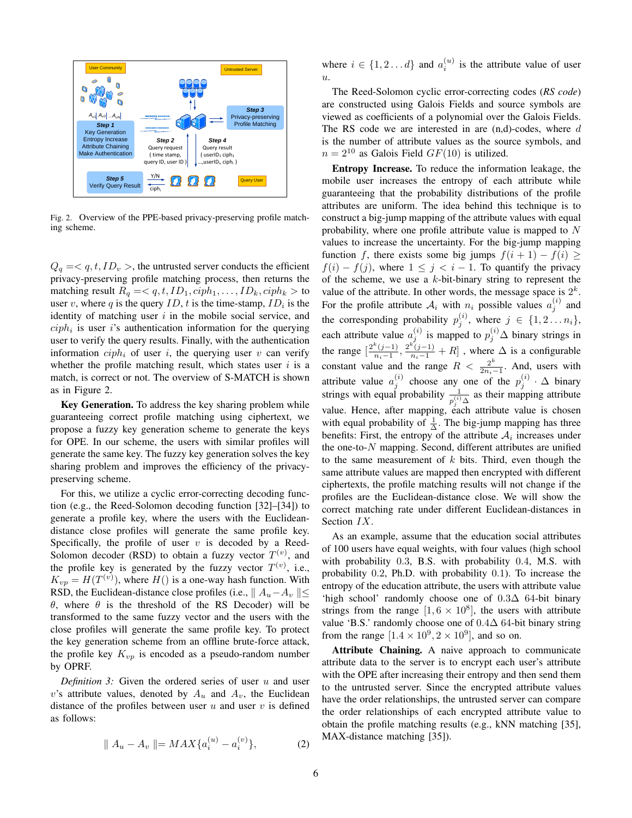

Fig. 2. Overview of the PPE-based privacy-preserving profile matching scheme.

 $Q_q = \langle q, t, ID_v \rangle$ , the untrusted server conducts the efficient privacy-preserving profile matching process, then returns the matching result  $R_q = \langle q, t, ID_1, ciph_1, \ldots, ID_k, ciph_k \rangle$  to user v, where q is the query  $ID$ , t is the time-stamp,  $ID_i$  is the identity of matching user  $i$  in the mobile social service, and  $ciph<sub>i</sub>$  is user i's authentication information for the querying user to verify the query results. Finally, with the authentication information  $ciph_i$  of user i, the querying user v can verify whether the profile matching result, which states user  $i$  is a match, is correct or not. The overview of S-MATCH is shown as in Figure 2.

Key Generation. To address the key sharing problem while guaranteeing correct profile matching using ciphertext, we propose a fuzzy key generation scheme to generate the keys for OPE. In our scheme, the users with similar profiles will generate the same key. The fuzzy key generation solves the key sharing problem and improves the efficiency of the privacypreserving scheme.

For this, we utilize a cyclic error-correcting decoding function (e.g., the Reed-Solomon decoding function [32]–[34]) to generate a profile key, where the users with the Euclideandistance close profiles will generate the same profile key. Specifically, the profile of user  $v$  is decoded by a Reed-Solomon decoder (RSD) to obtain a fuzzy vector  $T^{(v)}$ , and the profile key is generated by the fuzzy vector  $T^{(v)}$ , i.e.,  $K_{vp} = H(T^{(v)})$ , where  $H()$  is a one-way hash function. With RSD, the Euclidean-distance close profiles (i.e.,  $|| A_u - A_v || \le$ θ, where θ is the threshold of the RS Decoder) will be transformed to the same fuzzy vector and the users with the close profiles will generate the same profile key. To protect the key generation scheme from an offline brute-force attack, the profile key  $K_{vp}$  is encoded as a pseudo-random number by OPRF.

*Definition 3:* Given the ordered series of user  $u$  and user v's attribute values, denoted by  $A_u$  and  $A_v$ , the Euclidean distance of the profiles between user  $u$  and user  $v$  is defined as follows:

$$
\| A_u - A_v \| = MAX\{a_i^{(u)} - a_i^{(v)}\},
$$
 (2)

where  $i \in \{1, 2 \dots d\}$  and  $a_i^{(u)}$  is the attribute value of user  $u$ .

The Reed-Solomon cyclic error-correcting codes (*RS code*) are constructed using Galois Fields and source symbols are viewed as coefficients of a polynomial over the Galois Fields. The RS code we are interested in are  $(n,d)$ -codes, where d is the number of attribute values as the source symbols, and  $n = 2^{10}$  as Galois Field  $GF(10)$  is utilized.

Entropy Increase. To reduce the information leakage, the mobile user increases the entropy of each attribute while guaranteeing that the probability distributions of the profile attributes are uniform. The idea behind this technique is to construct a big-jump mapping of the attribute values with equal probability, where one profile attribute value is mapped to  $N$ values to increase the uncertainty. For the big-jump mapping function f, there exists some big jumps  $f(i + 1) - f(i) \ge$  $f(i) - f(j)$ , where  $1 \leq j \leq i - 1$ . To quantify the privacy of the scheme, we use a  $k$ -bit-binary string to represent the value of the attribute. In other words, the message space is  $2^k$ . For the profile attribute  $A_i$  with  $n_i$  possible values  $a_j^{(i)}$  and the corresponding probability  $p_j^{(i)}$ , where  $j \in \{1, 2, ..., n_i\}$ , each attribute value  $a_j^{(i)}$  is mapped to  $p_j^{(i)}$   $\Delta$  binary strings in the range  $\left[\frac{2^k(j-1)}{n-1}\right]$  $\frac{\binom{k(j-1)}{n_i-1}, \frac{2^{k(j-1)}}{n_i-1} + R}$ , where  $\Delta$  is a configurable constant value and the range  $R < \frac{2^k}{2n}$  $\frac{2^n}{2n_i-1}$ . And, users with attribute value  $a_j^{(i)}$  choose any one of the  $p_j^{(i)} \cdot \Delta$  binary strings with equal probability  $\frac{1}{p_j^{(i)} \Delta}$  as their mapping attribute value. Hence, after mapping, each attribute value is chosen with equal probability of  $\frac{1}{\Delta}$ . The big-jump mapping has three benefits: First, the entropy of the attribute  $A_i$  increases under the one-to-N mapping. Second, different attributes are unified to the same measurement of  $k$  bits. Third, even though the same attribute values are mapped then encrypted with different ciphertexts, the profile matching results will not change if the profiles are the Euclidean-distance close. We will show the correct matching rate under different Euclidean-distances in Section IX.

As an example, assume that the education social attributes of 100 users have equal weights, with four values (high school with probability 0.3, B.S. with probability 0.4, M.S. with probability 0.2, Ph.D. with probability 0.1). To increase the entropy of the education attribute, the users with attribute value 'high school' randomly choose one of 0.3∆ 64-bit binary strings from the range  $[1, 6 \times 10^8]$ , the users with attribute value 'B.S.' randomly choose one of  $0.4\Delta$  64-bit binary string from the range  $[1.4 \times 10^9, 2 \times 10^9]$ , and so on.

Attribute Chaining. A naive approach to communicate attribute data to the server is to encrypt each user's attribute with the OPE after increasing their entropy and then send them to the untrusted server. Since the encrypted attribute values have the order relationships, the untrusted server can compare the order relationships of each encrypted attribute value to obtain the profile matching results (e.g., kNN matching [35], MAX-distance matching [35]).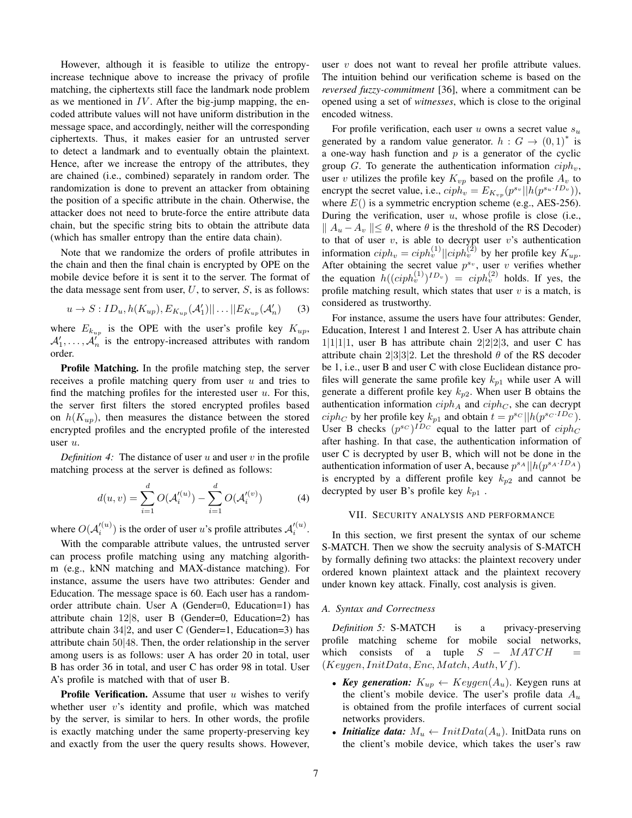However, although it is feasible to utilize the entropyincrease technique above to increase the privacy of profile matching, the ciphertexts still face the landmark node problem as we mentioned in  $IV$ . After the big-jump mapping, the encoded attribute values will not have uniform distribution in the message space, and accordingly, neither will the corresponding ciphertexts. Thus, it makes easier for an untrusted server to detect a landmark and to eventually obtain the plaintext. Hence, after we increase the entropy of the attributes, they are chained (i.e., combined) separately in random order. The randomization is done to prevent an attacker from obtaining the position of a specific attribute in the chain. Otherwise, the attacker does not need to brute-force the entire attribute data chain, but the specific string bits to obtain the attribute data (which has smaller entropy than the entire data chain).

Note that we randomize the orders of profile attributes in the chain and then the final chain is encrypted by OPE on the mobile device before it is sent it to the server. The format of the data message sent from user,  $U$ , to server,  $S$ , is as follows:

$$
u \to S: ID_u, h(K_{up}), E_{K_{up}}(\mathcal{A}'_1)|| \dots ||E_{K_{up}}(\mathcal{A}'_n)
$$
 (3)

where  $E_{k_{up}}$  is the OPE with the user's profile key  $K_{up}$ ,  $A'_1, \ldots, A'_n$  is the entropy-increased attributes with random order.

Profile Matching. In the profile matching step, the server receives a profile matching query from user  $u$  and tries to find the matching profiles for the interested user  $u$ . For this, the server first filters the stored encrypted profiles based on  $h(K_{up})$ , then measures the distance between the stored encrypted profiles and the encrypted profile of the interested user u.

*Definition 4:* The distance of user u and user v in the profile matching process at the server is defined as follows:

$$
d(u, v) = \sum_{i=1}^{d} O(\mathcal{A}'^{(u)}_i) - \sum_{i=1}^{d} O(\mathcal{A}'^{(v)}_i)
$$
 (4)

where  $O(\mathcal{A}_i'^{(u)})$  is the order of user u's profile attributes  $\mathcal{A}_i'^{(u)}$ .

With the comparable attribute values, the untrusted server can process profile matching using any matching algorithm (e.g., kNN matching and MAX-distance matching). For instance, assume the users have two attributes: Gender and Education. The message space is 60. Each user has a randomorder attribute chain. User A (Gender=0, Education=1) has attribute chain 12|8, user B (Gender=0, Education=2) has attribute chain  $34|2$ , and user C (Gender=1, Education=3) has attribute chain 50|48. Then, the order relationship in the server among users is as follows: user A has order 20 in total, user B has order 36 in total, and user C has order 98 in total. User A's profile is matched with that of user B.

**Profile Verification.** Assume that user  $u$  wishes to verify whether user  $v$ 's identity and profile, which was matched by the server, is similar to hers. In other words, the profile is exactly matching under the same property-preserving key and exactly from the user the query results shows. However, user  $v$  does not want to reveal her profile attribute values. The intuition behind our verification scheme is based on the *reversed fuzzy-commitment* [36], where a commitment can be opened using a set of *witnesses*, which is close to the original encoded witness.

For profile verification, each user  $u$  owns a secret value  $s_u$ generated by a random value generator.  $h: G \to (0,1)^*$  is a one-way hash function and  $p$  is a generator of the cyclic group G. To generate the authentication information  $ciph<sub>v</sub>$ , user v utilizes the profile key  $K_{vp}$  based on the profile  $A_v$  to encrypt the secret value, i.e.,  $ciph_v = E_{K_{vp}}(p^{s_v}||h(p^{s_u \cdot ID_v})),$ where  $E()$  is a symmetric encryption scheme (e.g., AES-256). During the verification, user  $u$ , whose profile is close (i.e.,  $||A_u - A_v|| \le \theta$ , where  $\theta$  is the threshold of the RS Decoder) to that of user  $v$ , is able to decrypt user  $v$ 's authentication information  $ciph_v = ciph_v^{(1)} || ciph_v^{(2)}$  by her profile key  $K_{up}$ . After obtaining the secret value  $p^{s_v}$ , user v verifies whether the equation  $h((ciph_v^{(1)})^{ID_v}) = ciph_v^{(2)}$  holds. If yes, the profile matching result, which states that user  $v$  is a match, is considered as trustworthy.

For instance, assume the users have four attributes: Gender, Education, Interest 1 and Interest 2. User A has attribute chain  $1|1|1|1$ , user B has attribute chain  $2|2|2|3$ , and user C has attribute chain  $2|3|3|2$ . Let the threshold  $\theta$  of the RS decoder be 1, i.e., user B and user C with close Euclidean distance profiles will generate the same profile key  $k_{p1}$  while user A will generate a different profile key  $k_{p2}$ . When user B obtains the authentication information  $ciph_A$  and  $ciph_C$ , she can decrypt  $ciph_C$  by her profile key  $k_{p1}$  and obtain  $t = p^{s_C}||h(p^{s_C \cdot ID_C})$ . User B checks  $(p^{s_C})^{ID_C}$  equal to the latter part of  $ciph_C$ after hashing. In that case, the authentication information of user C is decrypted by user B, which will not be done in the authentication information of user A, because  $p^{s_A} || h(p^{s_A \cdot ID_A})$ is encrypted by a different profile key  $k_{p2}$  and cannot be decrypted by user B's profile key  $k_{p1}$ .

#### VII. SECURITY ANALYSIS AND PERFORMANCE

In this section, we first present the syntax of our scheme S-MATCH. Then we show the secruity analysis of S-MATCH by formally defining two attacks: the plaintext recovery under ordered known plaintext attack and the plaintext recovery under known key attack. Finally, cost analysis is given.

# *A. Syntax and Correctness*

*Definition 5:* S-MATCH is a privacy-preserving profile matching scheme for mobile social networks, which consists of a tuple  $S - MATCH$  $(Keygen,InitData, Enc, Match, Author, Vf).$ 

- *Key generation:*  $K_{up} \leftarrow Keygen(A_u)$ . Keygen runs at the client's mobile device. The user's profile data  $A_u$ is obtained from the profile interfaces of current social networks providers.
- *Initialize data:*  $M_u \leftarrow \text{InitData}(A_u)$ . InitData runs on the client's mobile device, which takes the user's raw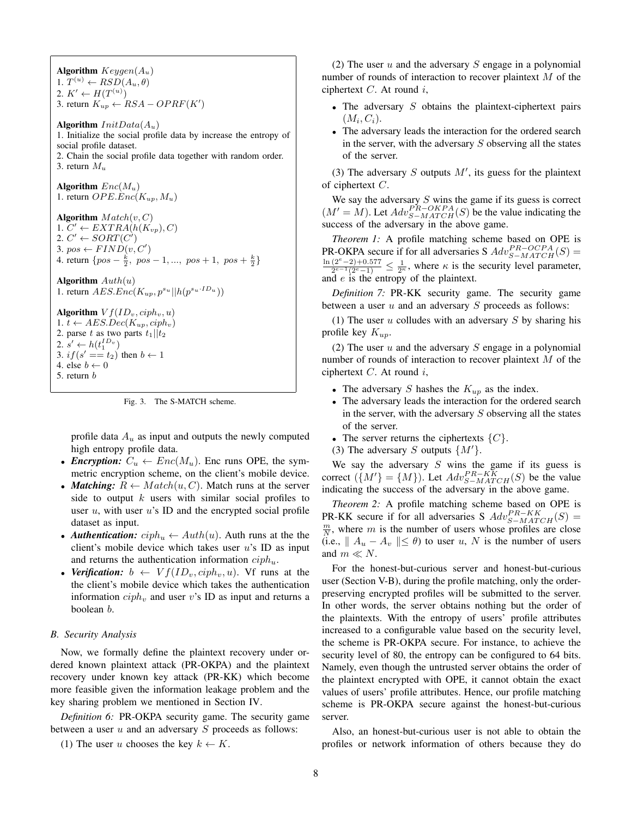Algorithm  $Keygen(A_u)$ 1.  $T^{(u)} \leftarrow RSD(A_u, \theta)$ 2.  $K' \leftarrow H(T^{(u)})$ 3. return  $K_{up} \leftarrow RSA - OPRF(K')$ Algorithm  $InitData(A_u)$ 1. Initialize the social profile data by increase the entropy of social profile dataset. 2. Chain the social profile data together with random order. 3. return  $M_u$ Algorithm  $Enc(M_u)$ 1. return  $OPE.Enc(K_{up}, M_u)$ Algorithm  $Match(v, C)$ 1.  $C' \leftarrow EXTRA(h(K_{vp}), C)$ 2.  $C' \leftarrow \text{SORT}(C')$ 3. pos  $\leftarrow $FIND(v, C')$$ 4. return  $\{pos - \frac{k}{2}, pos - 1, ..., pos + 1, pos + \frac{k}{2}\}\$ Algorithm  $Auth(u)$ 1. return  $AESEnc(K_{up}, p^{s_u} || h(p^{s_u \cdot ID_u}))$ Algorithm  $V f(ID_v, ciph_v, u)$ 1.  $t \leftarrow AES{Dec}(K_{up}, ciph_v)$ 2. parse t as two parts  $t_1||t_2$ 2.  $s' \leftarrow h(t_1^{ID_v})$ 3.  $if(s' == t_2)$  then  $b \leftarrow 1$ 4. else  $b \leftarrow 0$ 5. return b

Fig. 3. The S-MATCH scheme.

profile data  $A_u$  as input and outputs the newly computed high entropy profile data.

- *Encryption:*  $C_u \leftarrow Enc(M_u)$ . Enc runs OPE, the symmetric encryption scheme, on the client's mobile device.
- *Matching:*  $R \leftarrow Match(u, C)$ . Match runs at the server side to output  $k$  users with similar social profiles to user  $u$ , with user  $u$ 's ID and the encrypted social profile dataset as input.
- *Authentication:*  $ciph_u \leftarrow \text{Aut}h(u)$ . Auth runs at the the client's mobile device which takes user  $u$ 's ID as input and returns the authentication information  $ciph_u$ .
- *Verification:*  $b \leftarrow Vf(ID_v, ciph_v, u)$ . Vf runs at the the client's mobile device which takes the authentication information  $ciph_v$  and user v's ID as input and returns a boolean b.

## *B. Security Analysis*

Now, we formally define the plaintext recovery under ordered known plaintext attack (PR-OKPA) and the plaintext recovery under known key attack (PR-KK) which become more feasible given the information leakage problem and the key sharing problem we mentioned in Section IV.

*Definition 6:* PR-OKPA security game. The security game between a user  $u$  and an adversary  $S$  proceeds as follows:

(1) The user u chooses the key  $k \leftarrow K$ .

(2) The user u and the adversary S engage in a polynomial number of rounds of interaction to recover plaintext M of the ciphertext  $C$ . At round  $i$ ,

- The adversary  $S$  obtains the plaintext-ciphertext pairs  $(M_i, C_i).$
- The adversary leads the interaction for the ordered search in the server, with the adversary  $S$  observing all the states of the server.

(3) The adversary  $S$  outputs  $M'$ , its guess for the plaintext of ciphertext  $C$ .

We say the adversary  $S$  wins the game if its guess is correct  $(M' = M)$ . Let  $Adv_{S-MATCH}^{PA}(S)$  be the value indicating the success of the adversary in the above game.

*Theorem 1:* A profile matching scheme based on OPE is PR-OKPA secure if for all adversaries S  $Adv_{S-MATCH}^{PR-OCPA}(S)$  =  $ln(2^e-2)+0.577$  $\frac{(2^{\epsilon}-2)+0.577}{2^{\epsilon-1}(2^{\epsilon}-1)} \leq \frac{1}{2^{\kappa}}$ , where  $\kappa$  is the security level parameter, and  $e$  is the entropy of the plaintext.

*Definition 7:* PR-KK security game. The security game between a user  $u$  and an adversary  $S$  proceeds as follows:

(1) The user  $u$  colludes with an adversary  $S$  by sharing his profile key  $K_{up}$ .

(2) The user  $u$  and the adversary  $S$  engage in a polynomial number of rounds of interaction to recover plaintext M of the ciphertext  $C$ . At round  $i$ ,

- The adversary S hashes the  $K_{up}$  as the index.
- The adversary leads the interaction for the ordered search in the server, with the adversary  $S$  observing all the states of the server.
- The server returns the ciphertexts  $\{C\}$ .
- (3) The adversary S outputs  $\{M'\}.$

We say the adversary  $S$  wins the game if its guess is correct  $({M \choose M'} = {M})$ . Let  $Adv_{S-MATCH}^{PR-KK}(S)$  be the value indicating the success of the adversary in the above game.

*Theorem 2:* A profile matching scheme based on OPE is PR-KK secure if for all adversaries S  $Adv_{S-MATCH}^{PR-KK}(S)$  =  $\frac{m}{N}$ , where *m* is the number of users whose profiles are close (i.e.,  $|| A_u - A_v || \le \theta$ ) to user u, N is the number of users and  $m \ll N$ .

For the honest-but-curious server and honest-but-curious user (Section V-B), during the profile matching, only the orderpreserving encrypted profiles will be submitted to the server. In other words, the server obtains nothing but the order of the plaintexts. With the entropy of users' profile attributes increased to a configurable value based on the security level, the scheme is PR-OKPA secure. For instance, to achieve the security level of 80, the entropy can be configured to 64 bits. Namely, even though the untrusted server obtains the order of the plaintext encrypted with OPE, it cannot obtain the exact values of users' profile attributes. Hence, our profile matching scheme is PR-OKPA secure against the honest-but-curious server.

Also, an honest-but-curious user is not able to obtain the profiles or network information of others because they do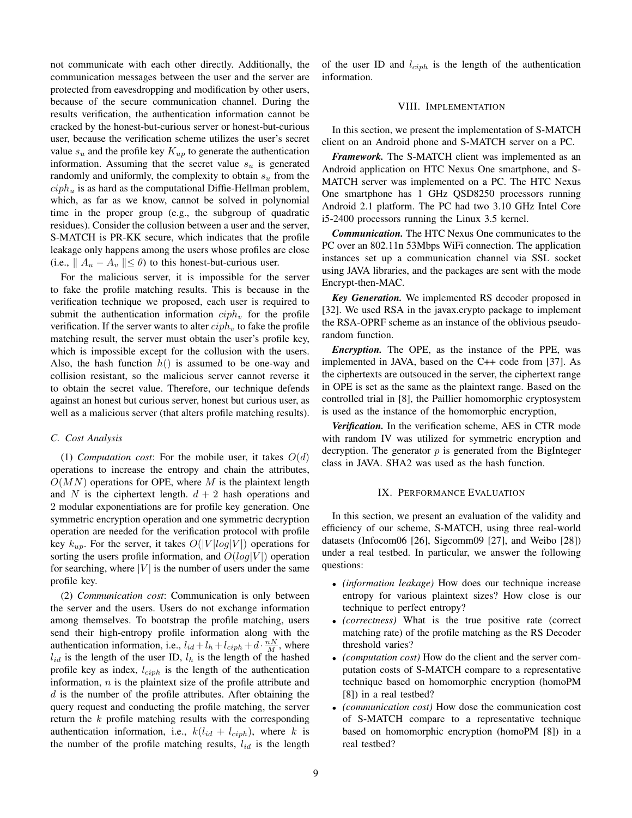not communicate with each other directly. Additionally, the communication messages between the user and the server are protected from eavesdropping and modification by other users, because of the secure communication channel. During the results verification, the authentication information cannot be cracked by the honest-but-curious server or honest-but-curious user, because the verification scheme utilizes the user's secret value  $s_u$  and the profile key  $K_{up}$  to generate the authentication information. Assuming that the secret value  $s_u$  is generated randomly and uniformly, the complexity to obtain  $s<sub>u</sub>$  from the  $ciph_u$  is as hard as the computational Diffie-Hellman problem, which, as far as we know, cannot be solved in polynomial time in the proper group (e.g., the subgroup of quadratic residues). Consider the collusion between a user and the server, S-MATCH is PR-KK secure, which indicates that the profile leakage only happens among the users whose profiles are close (i.e.,  $|| A_u - A_v || \le \theta$ ) to this honest-but-curious user.

For the malicious server, it is impossible for the server to fake the profile matching results. This is because in the verification technique we proposed, each user is required to submit the authentication information  $ciph_v$  for the profile verification. If the server wants to alter  $ciph<sub>v</sub>$  to fake the profile matching result, the server must obtain the user's profile key, which is impossible except for the collusion with the users. Also, the hash function  $h()$  is assumed to be one-way and collision resistant, so the malicious server cannot reverse it to obtain the secret value. Therefore, our technique defends against an honest but curious server, honest but curious user, as well as a malicious server (that alters profile matching results).

## *C. Cost Analysis*

(1) *Computation cost*: For the mobile user, it takes  $O(d)$ operations to increase the entropy and chain the attributes,  $O(MN)$  operations for OPE, where M is the plaintext length and N is the ciphertext length.  $d + 2$  hash operations and 2 modular exponentiations are for profile key generation. One symmetric encryption operation and one symmetric decryption operation are needed for the verification protocol with profile key  $k_{up}$ . For the server, it takes  $O(|V|log|V|)$  operations for sorting the users profile information, and  $O(log|V|)$  operation for searching, where  $|V|$  is the number of users under the same profile key.

(2) *Communication cost*: Communication is only between the server and the users. Users do not exchange information among themselves. To bootstrap the profile matching, users send their high-entropy profile information along with the authentication information, i.e.,  $l_{id} + l_h + l_{ciph} + d \cdot \frac{nN}{M}$ , where  $l_{id}$  is the length of the user ID,  $l_h$  is the length of the hashed profile key as index,  $l_{ciph}$  is the length of the authentication information,  $n$  is the plaintext size of the profile attribute and  $d$  is the number of the profile attributes. After obtaining the query request and conducting the profile matching, the server return the  $k$  profile matching results with the corresponding authentication information, i.e.,  $k(l_{id} + l_{ciph})$ , where k is the number of the profile matching results,  $l_{id}$  is the length of the user ID and  $l_{ciph}$  is the length of the authentication information.

# VIII. IMPLEMENTATION

In this section, we present the implementation of S-MATCH client on an Android phone and S-MATCH server on a PC.

*Framework.* The S-MATCH client was implemented as an Android application on HTC Nexus One smartphone, and S-MATCH server was implemented on a PC. The HTC Nexus One smartphone has 1 GHz QSD8250 processors running Android 2.1 platform. The PC had two 3.10 GHz Intel Core i5-2400 processors running the Linux 3.5 kernel.

*Communication.* The HTC Nexus One communicates to the PC over an 802.11n 53Mbps WiFi connection. The application instances set up a communication channel via SSL socket using JAVA libraries, and the packages are sent with the mode Encrypt-then-MAC.

*Key Generation.* We implemented RS decoder proposed in [32]. We used RSA in the javax.crypto package to implement the RSA-OPRF scheme as an instance of the oblivious pseudorandom function.

*Encryption.* The OPE, as the instance of the PPE, was implemented in JAVA, based on the C++ code from [37]. As the ciphertexts are outsouced in the server, the ciphertext range in OPE is set as the same as the plaintext range. Based on the controlled trial in [8], the Paillier homomorphic cryptosystem is used as the instance of the homomorphic encryption,

*Verification.* In the verification scheme, AES in CTR mode with random IV was utilized for symmetric encryption and decryption. The generator  $p$  is generated from the BigInteger class in JAVA. SHA2 was used as the hash function.

#### IX. PERFORMANCE EVALUATION

In this section, we present an evaluation of the validity and efficiency of our scheme, S-MATCH, using three real-world datasets (Infocom06 [26], Sigcomm09 [27], and Weibo [28]) under a real testbed. In particular, we answer the following questions:

- *(information leakage)* How does our technique increase entropy for various plaintext sizes? How close is our technique to perfect entropy?
- *(correctness)* What is the true positive rate (correct matching rate) of the profile matching as the RS Decoder threshold varies?
- *(computation cost)* How do the client and the server computation costs of S-MATCH compare to a representative technique based on homomorphic encryption (homoPM [8]) in a real testbed?
- *(communication cost)* How dose the communication cost of S-MATCH compare to a representative technique based on homomorphic encryption (homoPM [8]) in a real testbed?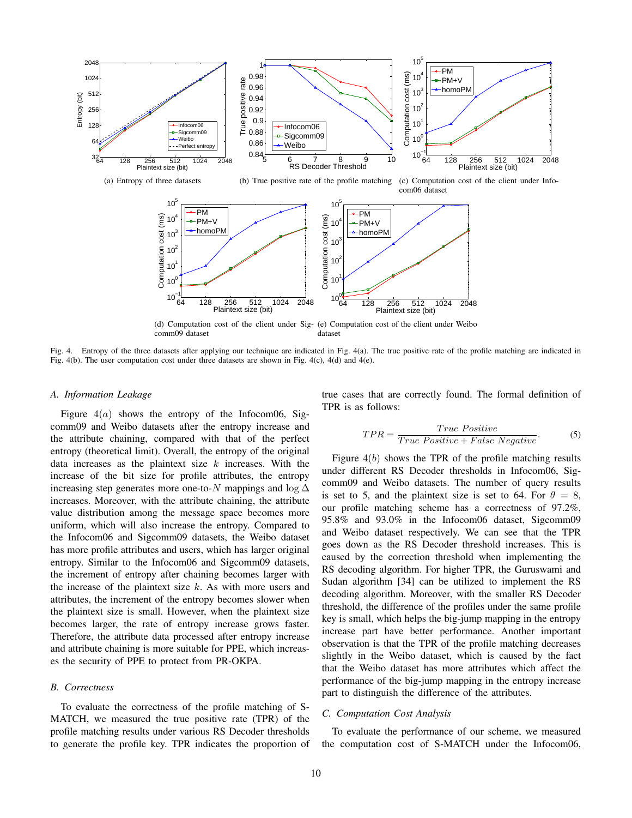

(d) Computation cost of the client under Sig-(e) Computation cost of the client under Weibo comm09 dataset dataset

Fig. 4. Entropy of the three datasets after applying our technique are indicated in Fig. 4(a). The true positive rate of the profile matching are indicated in Fig. 4(b). The user computation cost under three datasets are shown in Fig. 4(c), 4(d) and 4(e).

#### *A. Information Leakage*

Figure  $4(a)$  shows the entropy of the Infocom06, Sigcomm09 and Weibo datasets after the entropy increase and the attribute chaining, compared with that of the perfect entropy (theoretical limit). Overall, the entropy of the original data increases as the plaintext size  $k$  increases. With the increase of the bit size for profile attributes, the entropy increasing step generates more one-to-N mappings and log  $\Delta$ increases. Moreover, with the attribute chaining, the attribute value distribution among the message space becomes more uniform, which will also increase the entropy. Compared to the Infocom06 and Sigcomm09 datasets, the Weibo dataset has more profile attributes and users, which has larger original entropy. Similar to the Infocom06 and Sigcomm09 datasets, the increment of entropy after chaining becomes larger with the increase of the plaintext size  $k$ . As with more users and attributes, the increment of the entropy becomes slower when the plaintext size is small. However, when the plaintext size becomes larger, the rate of entropy increase grows faster. Therefore, the attribute data processed after entropy increase and attribute chaining is more suitable for PPE, which increases the security of PPE to protect from PR-OKPA.

# *B. Correctness*

To evaluate the correctness of the profile matching of S-MATCH, we measured the true positive rate (TPR) of the profile matching results under various RS Decoder thresholds to generate the profile key. TPR indicates the proportion of true cases that are correctly found. The formal definition of TPR is as follows:

$$
TPR = \frac{True \ Positive}{True \ Positive + False \ Negative}.\tag{5}
$$

Figure  $4(b)$  shows the TPR of the profile matching results under different RS Decoder thresholds in Infocom06, Sigcomm09 and Weibo datasets. The number of query results is set to 5, and the plaintext size is set to 64. For  $\theta = 8$ , our profile matching scheme has a correctness of 97.2%, 95.8% and 93.0% in the Infocom06 dataset, Sigcomm09 and Weibo dataset respectively. We can see that the TPR goes down as the RS Decoder threshold increases. This is caused by the correction threshold when implementing the RS decoding algorithm. For higher TPR, the Guruswami and Sudan algorithm [34] can be utilized to implement the RS decoding algorithm. Moreover, with the smaller RS Decoder threshold, the difference of the profiles under the same profile key is small, which helps the big-jump mapping in the entropy increase part have better performance. Another important observation is that the TPR of the profile matching decreases slightly in the Weibo dataset, which is caused by the fact that the Weibo dataset has more attributes which affect the performance of the big-jump mapping in the entropy increase part to distinguish the difference of the attributes.

## *C. Computation Cost Analysis*

To evaluate the performance of our scheme, we measured the computation cost of S-MATCH under the Infocom06,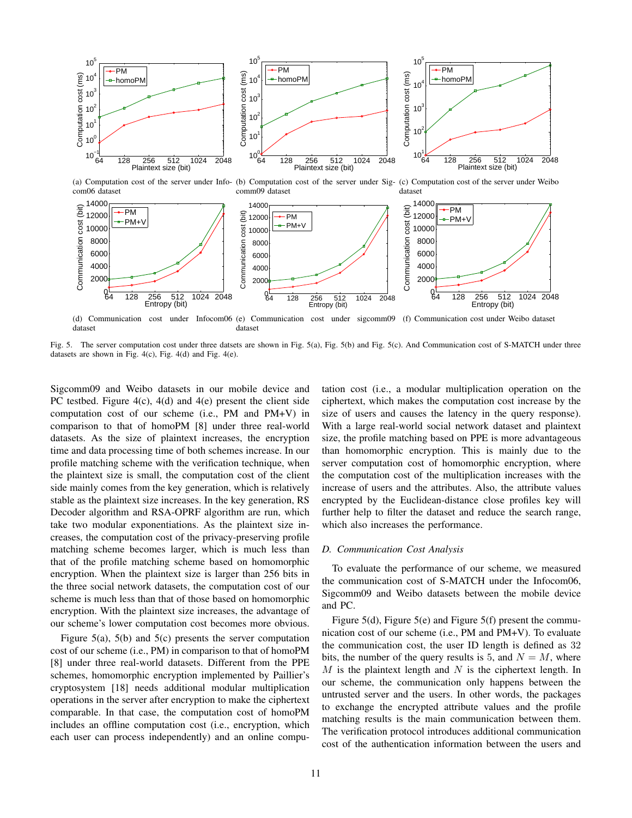

dataset (e) Communication cost under sigcomm09 (f) Communication cost under Weibo dataset dataset

Fig. 5. The server computation cost under three datsets are shown in Fig. 5(a), Fig. 5(b) and Fig. 5(c). And Communication cost of S-MATCH under three datasets are shown in Fig. 4(c), Fig. 4(d) and Fig. 4(e).

Sigcomm09 and Weibo datasets in our mobile device and PC testbed. Figure 4(c), 4(d) and 4(e) present the client side computation cost of our scheme (i.e., PM and PM+V) in comparison to that of homoPM [8] under three real-world datasets. As the size of plaintext increases, the encryption time and data processing time of both schemes increase. In our profile matching scheme with the verification technique, when the plaintext size is small, the computation cost of the client side mainly comes from the key generation, which is relatively stable as the plaintext size increases. In the key generation, RS Decoder algorithm and RSA-OPRF algorithm are run, which take two modular exponentiations. As the plaintext size increases, the computation cost of the privacy-preserving profile matching scheme becomes larger, which is much less than that of the profile matching scheme based on homomorphic encryption. When the plaintext size is larger than 256 bits in the three social network datasets, the computation cost of our scheme is much less than that of those based on homomorphic encryption. With the plaintext size increases, the advantage of our scheme's lower computation cost becomes more obvious.

Figure 5(a), 5(b) and 5(c) presents the server computation cost of our scheme (i.e., PM) in comparison to that of homoPM [8] under three real-world datasets. Different from the PPE schemes, homomorphic encryption implemented by Paillier's cryptosystem [18] needs additional modular multiplication operations in the server after encryption to make the ciphertext comparable. In that case, the computation cost of homoPM includes an offline computation cost (i.e., encryption, which each user can process independently) and an online computation cost (i.e., a modular multiplication operation on the ciphertext, which makes the computation cost increase by the size of users and causes the latency in the query response). With a large real-world social network dataset and plaintext size, the profile matching based on PPE is more advantageous than homomorphic encryption. This is mainly due to the server computation cost of homomorphic encryption, where the computation cost of the multiplication increases with the increase of users and the attributes. Also, the attribute values encrypted by the Euclidean-distance close profiles key will further help to filter the dataset and reduce the search range, which also increases the performance.

#### *D. Communication Cost Analysis*

To evaluate the performance of our scheme, we measured the communication cost of S-MATCH under the Infocom06, Sigcomm09 and Weibo datasets between the mobile device and PC.

Figure 5(d), Figure 5(e) and Figure 5(f) present the communication cost of our scheme (i.e., PM and PM+V). To evaluate the communication cost, the user ID length is defined as 32 bits, the number of the query results is 5, and  $N = M$ , where  $M$  is the plaintext length and  $N$  is the ciphertext length. In our scheme, the communication only happens between the untrusted server and the users. In other words, the packages to exchange the encrypted attribute values and the profile matching results is the main communication between them. The verification protocol introduces additional communication cost of the authentication information between the users and